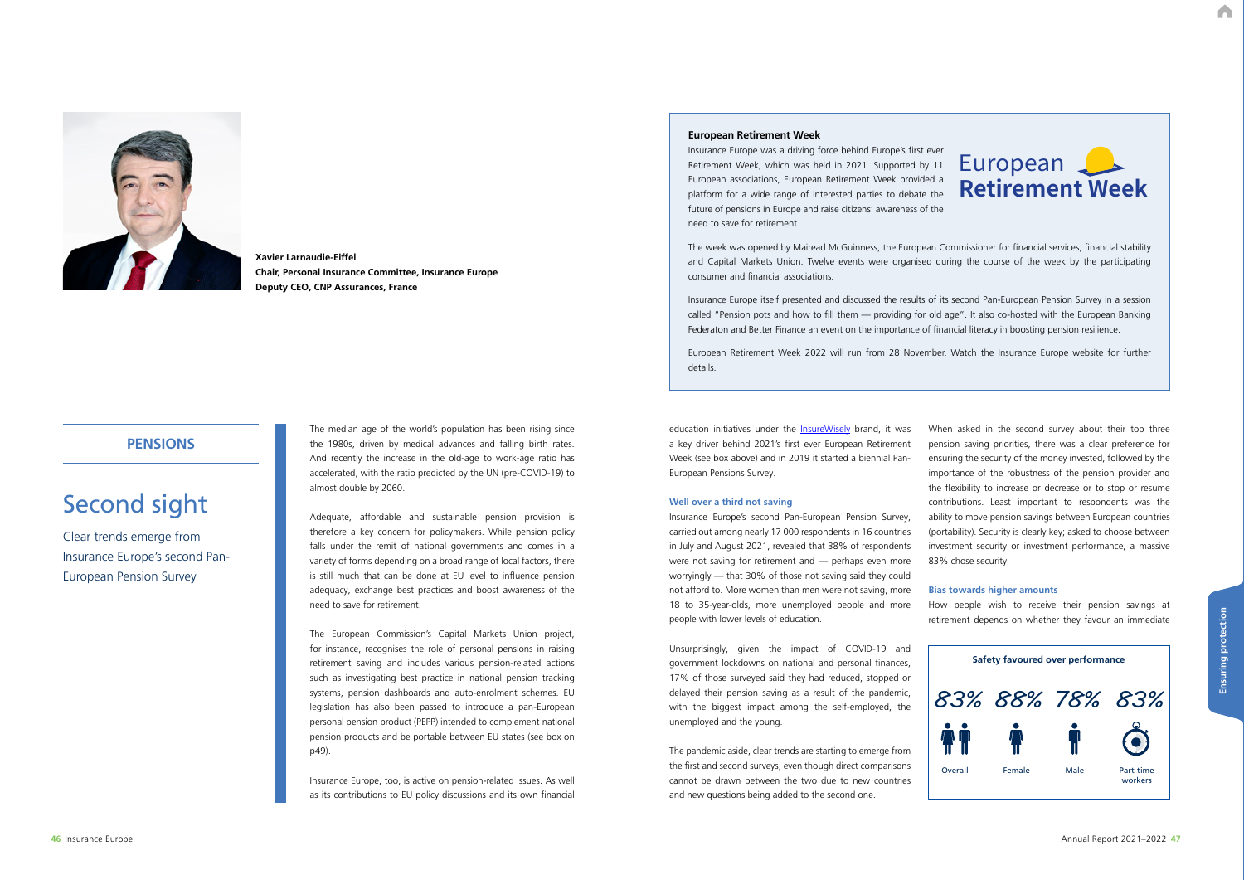A

# Second sight

Clear trends emerge from Insurance Europe's second Pan-European Pension Survey

## **PENSIONS**

The median age of the world's population has been rising since the 1980s, driven by medical advances and falling birth rates. And recently the increase in the old-age to work-age ratio has accelerated, with the ratio predicted by the UN (pre-COVID-19) to almost double by 2060.

Adequate, affordable and sustainable pension provision is therefore a key concern for policymakers. While pension policy falls under the remit of national governments and comes in a variety of forms depending on a broad range of local factors, there is still much that can be done at EU level to influence pension adequacy, exchange best practices and boost awareness of the need to save for retirement.

education initiatives under the **InsureWisely** brand, it was a key driver behind 2021's first ever European Retirement Week (see box above) and in 2019 it started a biennial Pan-European Pensions Survey.

The European Commission's Capital Markets Union project, for instance, recognises the role of personal pensions in raising retirement saving and includes various pension-related actions such as investigating best practice in national pension tracking systems, pension dashboards and auto-enrolment schemes. EU legislation has also been passed to introduce a pan-European personal pension product (PEPP) intended to complement national pension products and be portable between EU states (see box on p49).

Insurance Europe, too, is active on pension-related issues. As well as its contributions to EU policy discussions and its own financial



**Xavier Larnaudie-Eiffel Chair, Personal Insurance Committee, Insurance Europe Deputy CEO, CNP Assurances, France**

#### **Well over a third not saving**

Insurance Europe's second Pan-European Pension Survey, carried out among nearly 17 000 respondents in 16 countries in July and August 2021, revealed that 38% of respondents were not saving for retirement and — perhaps even more worryingly — that 30% of those not saving said they could not afford to. More women than men were not saving, more 18 to 35-year-olds, more unemployed people and more people with lower levels of education.

Unsurprisingly, given the impact of COVID-19 and government lockdowns on national and personal finances, 17% of those surveyed said they had reduced, stopped or delayed their pension saving as a result of the pandemic, with the biggest impact among the self-employed, the unemployed and the young.

The pandemic aside, clear trends are starting to emerge from the first and second surveys, even though direct comparisons cannot be drawn between the two due to new countries and new questions being added to the second one.

When asked in the second survey about their top three pension saving priorities, there was a clear preference for ensuring the security of the money invested, followed by the importance of the robustness of the pension provider and the flexibility to increase or decrease or to stop or resume contributions. Least important to respondents was the ability to move pension savings between European countries (portability). Security is clearly key; asked to choose between investment security or investment performance, a massive 83% chose security.

#### **Bias towards higher amounts**

How people wish to receive their pension savings at retirement depends on whether they favour an immediate



## **European Retirement Week**

Insurance Europe was a driving force behind Europe's first ever Retirement Week, which was held in 2021. Supported by 11 European associations, European Retirement Week provided a platform for a wide range of interested parties to debate the future of pensions in Europe and raise citizens' awareness of the need to save for retirement.

The week was opened by Mairead McGuinness, the European Commissioner for financial services, financial stability and Capital Markets Union. Twelve events were organised during the course of the week by the participating consumer and financial associations.

Insurance Europe itself presented and discussed the results of its second Pan-European Pension Survey in a session called "Pension pots and how to fill them — providing for old age". It also co-hosted with the European Banking Federaton and Better Finance an event on the importance of financial literacy in boosting pension resilience.

European Retirement Week 2022 will run from 28 November. Watch the Insurance Europe website for further details.